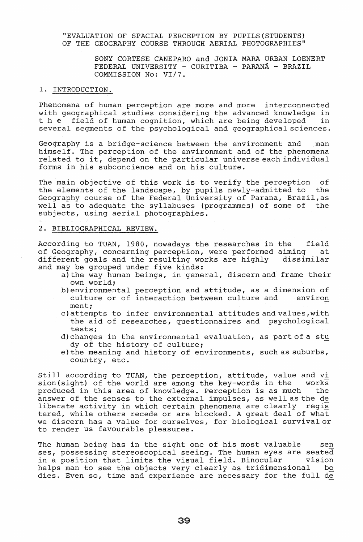"EVALUATION OF SPACIAL PERCEPTION BY PUPILS(STUDENTS) OF THE GEOGRAPHY COURSE THROUGH AERIAL PHOTOGRAPHIES"

> SONY CORTESE CANEPARO and JONIA MARA URBAN LOENERT FEDERAL UNIVERSITY - CURITIBA - PARANA - BRAZIL COMMISSION No: VI/7.

# 1. INTRODUCTION.

Phenomena of human perception are more and more interconnected with geographical studies considering the advanced knowledge in<br>t h e field of human cognition, which are being developed in field of human cognition, which are being developed several segments of the psychological and geographical sciences.

Geography is a bridge-science between the environment and man himself. The perception of the environment and of the phenomena related to it, depend on the particular universe each individual forms in his subconcience and on his culture.

The main objective of this work is to verify the perception of the elements of the landscape, by pupils newly-admitted to the Geography course of the Federal University of Parana, Brazil,as well as to adequate the syllabuses (programmes) of some of the subjects, using aerial photographies.

#### 2. BIBLIOGRAPHICAL REVIEW.

According to TUAN, 1980, nowadays the researches in the field of Geography, concerning perception, were performed aiming at<br>different goals and the resulting works are highly dissimilar different goals and the resulting works are highly and may be grouped under five kinds:

- a)the way human beings, in general, discern and frame their own world;
- b)environmental perception and attitude, as a dimension of culture or of interaction between culture and environ ment;
- c) attempts to infer environmental attitudes and values,with the aid of researches, questionnaires and psychological tests;
- d) changes in the environmental evaluation, as part of a stu dy of the history of culture;
- e) the meaning and history of environments, such as suburbs, country, etc.

Still according to TUAN, the perception, attitude, value and  $v$ <u>i</u> sion(sight) of the world are among the key-words in the works produced in this area of knowledge. Perception is as much the answer of the senses to the external impulses, as well as the de liberate activity in which certain phenomena are clearly regis tered, while others recede or are blocked. A great deal of what we discern has a value for ourselves, for biological survival or to render us favourable pleasures.

The human being has in the sight one of his most valuable sen ses, possessing stereoscopical seeing. The human eyes are seated in a position that limits the visual field. Binocular vision helps man to see the objects very clearly as tridimensional bo dies. Even so, time and experience are necessary for the full de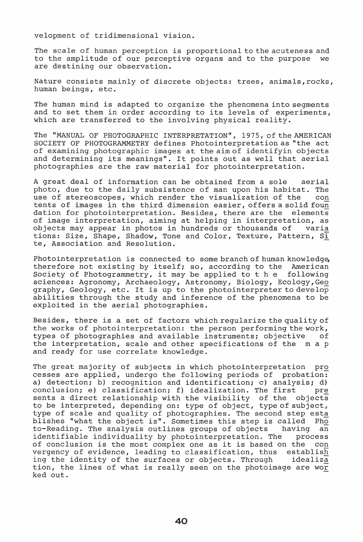velopment of tridimensional vision.

The scale of human perception is proportional to the acuteness and to the amplitude of our perceptive organs and to the purpose we are destining our observation.

Nature consists mainly of discrete objects: trees, animals,rocks, human beings, etc.

The human mind is adapted to organize the phenomena into segments and to set them in order according to its levels of experiments, which are transferred to the involving physical reality.

The "MANUAL OF PHOTOGRAPHIC INTERPRETATION", 1975, of the AMERICAN SOCIETY OF PHOTOGRAMMETRY defines Photointerpretation as "the act of examining photographic images at the aim of identifyin objects and determining its meanings". It points out as well that aerial photographies are the raw material for photointerpretation.

A great deal of information can be obtained from a sole aerial photo, due to the daily subsistence of man upon his habitat. The use of stereoscopes, which render the visualization of the con tents of images in the third dimension easier, offers a solid foun<br>dation for photointerpretation. Besides, there are the elements dation for photointerpretation. Besides, there are the of image interpretation, aiming at helping in interpretation, as objects may appear in photos in hundreds or thousands of varia tions: Size, Shape, Shadow, Tone and Color, Texture, Pattern,  $S\bar{i}$ te, Association and Resolution.

Photointerpretation is connected to some branch of human knowledge, therefore not existing by itself; so, according to the American<br>Society of Photogrammetry, it may be applied to t h e following Society of Photogrammetry, it may be applied to the sciences: Agronomy, Archaeology, Astronomy, Biology, Ecology,Geo graphy, Geology, etc. It is up to the photointerpreter to develop abilities through the study and inference of the phenomena to be exploited in the aerial photographies.

Besides, there is a set of factors which regularize the quality of the works of photointerpretation: the person performing the work, types of photographies and available instruments; objective of the interpretation, scale and other specifications of the m a p and ready for use correlate knowledge.

The great majority of subjects in which photointerpretation pro cesses are applied, undergo the following periods of probation: a) detection; b) recognition and identification; c) analysis; d) conclusion; e) classification; f) idealization. The first pre sents a direct relationship with the visibility of the objects sents a direct relationship with the visibility of the to be interpreted, depending on: type of object, type of subject, type of scale and quality of photographies. The second step esta efted to beate and quarter of photographics. The second step establishes "what the object is". Sometimes this step is called Pho to-Reading. The analysis outlines groups of objects having an identifiable individuality by photointerpretation. The process of conclusion is the most complex one as it is based on the con<br>vergency of evidence, leading to classification, thus establish vergency of evidence, leading to classification, thus ing the identity of the surfaces or objects. Through idealiza tion, the lines of what is really seen on the photoimage are wor ked out ..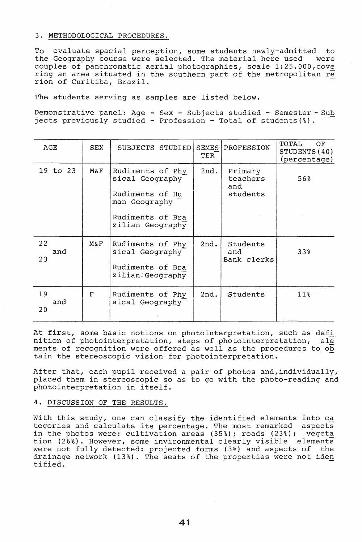# 3. METHODOLOGICAL PROCEDURES.

TO evaluate spacial perception, some students newly-admitted to the Geography course were selected. The material here used were couples of panchromatic aerial photographies, scale  $1:25.000$ , cove ring an area situated in the southern part of the metropolitan re rion of Curitiba, Brazil.

The students serving as samples are listed below.

Demonstrative panel: Age - Sex - Subjects studied - Semester - Sub jects previously studied - Profession - Total of students(%).

| AGE             | SEX      | SUBJECTS STUDIED                                                                                                | <b>SEMES</b><br>TER | PROFESSION                             | TOTAL<br>OF.<br>STUDENTS (40)<br>(percentage) |
|-----------------|----------|-----------------------------------------------------------------------------------------------------------------|---------------------|----------------------------------------|-----------------------------------------------|
| 19 to 23        | M&F      | Rudiments of Phy<br>sical Geography<br>Rudiments of Hu<br>man Geography<br>Rudiments of Bra<br>zilian Geography | 2nd.                | Primary<br>teachers<br>and<br>students | 568                                           |
| 22<br>and<br>23 | M&F      | Rudiments of Phy<br>sical Geography<br>Rudiments of Bra<br>ziłian Geography                                     | 2nd.                | Students<br>and<br>Bank clerks         | 33%                                           |
| 19<br>and<br>20 | $\Gamma$ | Rudiments of Phy<br>sical Geography                                                                             | 2nd.                | Students                               | 11 <sub>8</sub>                               |

At first, some basic notions on photointerpretation, such as defi nition of photointerpretation, steps of photointerpretation, ele ments of recognition were offered as well as the procedures to ob tain the stereoscopic vision for photointerpretation.

After that, each pupil received a pair of photos and, individually, placed them in stereoscopic so as to go with the photo-reading and photointerpretation in itself.

# 4. DISCUSSION OF THE RESULTS.

With this study, one can classify the identified elements into ca with this study, one can classify the fuentified efements filto care team to the control of in the photos were: cultivation areas (35%); roads (23%); vegeta tion (26%). However, some invironmental clearly visible elements were not fully detected: projected forms (3%) and aspects of the drainage network (13%). The seats of the properties were not iden tified.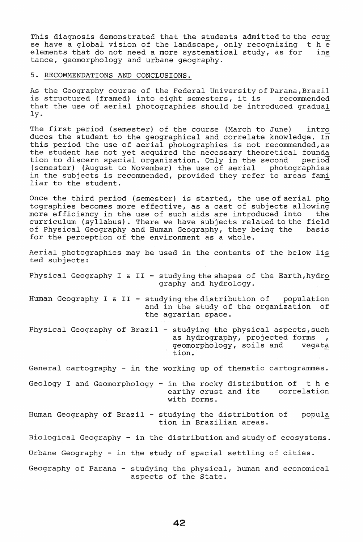This diagnosis demonstrated that the students admitted to the cour<br>se have a global vision of the landscape, only recognizing the se have a global vision of the landscape, only recognizing  $t$  h e elements that do not need a more systematical study, as for ins elements that do not need a more systematical study, as for tance, geomorphology and urbane geography.

### 5. RECOMMENDATIONS AND CONCLUSIONS.

As the Geography course of the Federal University of Parana, Brazil is structured (framed) into eight semesters, it is recommended that the use of aerial photographies should be introduced gradual ly.<br>ly.

The first period (semester) of the course (March to June) intro duces the student to the geographical and correlate knowledge. In this period the use of aerial photographies is not recommended,as the student has not yet acquired the necessary theoretical founda<br>tion to discern spacial organization. Only in the second period tion to discern spacial organization. Only in the second period<br>(semester) (August to November) the use of aerial photographies (semester) (August to November) the use of aerial in the subjects is recommended, provided they refer to areas fami In the subjects is recommended, provided they refer to areas ram.<br>liar to the student.

Once the third period (semester) is started, the use of aerial pho tographies becomes more effective, as a cast of subjects allowing more efficiency in the use of such aids are introduced into the curriculum (syllabus). There we have subjects related to the field of Physical Geography and Human Geography, they being the basis for the perception of the environment as a whole.

Aerial photographies may be used in the contents of the below lis ted subjects:

Physical Geography I & II - studying the shapes of the Earth, hydro graphy and hydrology\_

Human Geography I & II - studying the distribution of population and in the study of the organization of the agrarian space.

Physical Geography of Brazil - studying the physical aspects, such as hydrography, projected forms geomorphology, soils and tion.

General cartography - in the working up of thematic cartogrammes.

Geology I and Geomorphology - in the rocky distribution of the earthy crust and its correlation with forms.

Human Geography of Brazil - studying the distribution of tion in Brazilian areas. popula

Biological Geography - in the distribution and study of ecosystems.

Urbane Geography - in the study of spacial settling of cities.

Geography of Parana - studying the physical, human and economical aspects of the State.